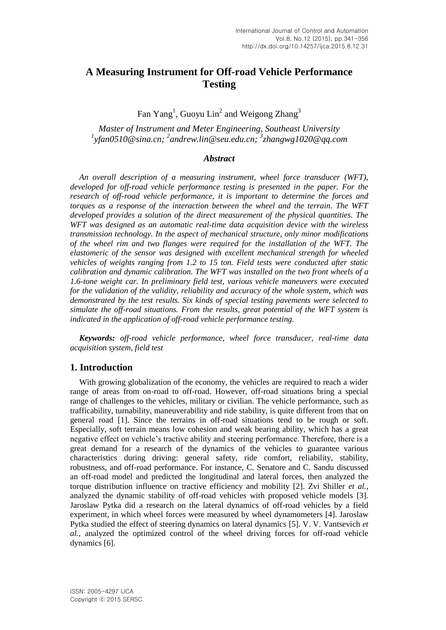# **A Measuring Instrument for Off-road Vehicle Performance Testing**

Fan  $Yang<sup>1</sup>$ , Guoyu Lin<sup>2</sup> and Weigong Zhang<sup>3</sup>

*Master of Instrument and Meter Engineering, Southeast University 1 yfan0510@sina.cn; <sup>2</sup> [andrew.lin@seu.edu.cn;](mailto:andrew.lin@seu.edu.cn) 3 zhangwg1020@qq.com*

#### *Abstract*

*An overall description of a measuring instrument, wheel force transducer (WFT), developed for off-road vehicle performance testing is presented in the paper. For the research of off-road vehicle performance, it is important to determine the forces and torques as a response of the interaction between the wheel and the terrain. The WFT developed provides a solution of the direct measurement of the physical quantities. The WFT was designed as an automatic real-time data acquisition device with the wireless transmission technology. In the aspect of mechanical structure, only minor modifications of the wheel rim and two flanges were required for the installation of the WFT. The elastomeric of the sensor was designed with excellent mechanical strength for wheeled vehicles of weights ranging from 1.2 to 15 ton. Field tests were conducted after static calibration and dynamic calibration. The WFT was installed on the two front wheels of a 1.6-tone weight car. In preliminary field test, various vehicle maneuvers were executed for the validation of the validity, reliability and accuracy of the whole system, which was demonstrated by the test results. Six kinds of special testing pavements were selected to simulate the off-road situations. From the results, great potential of the WFT system is indicated in the application of off-road vehicle performance testing.*

*Keywords: off-road vehicle performance, wheel force transducer, real-time data acquisition system, field test*

### **1. Introduction**

With growing globalization of the economy, the vehicles are required to reach a wider range of areas from on-road to off-road. However, off-road situations bring a special range of challenges to the vehicles, military or civilian. The vehicle performance, such as trafficability, turnability, maneuverability and ride stability, is quite different from that on general road [1]. Since the terrains in off-road situations tend to be rough or soft. Especially, soft terrain means low cohesion and weak bearing ability, which has a great negative effect on vehicle's tractive ability and steering performance. Therefore, there is a great demand for a research of the dynamics of the vehicles to guarantee various characteristics during driving: general safety, ride comfort, reliability, stability, robustness, and off-road performance. For instance, C. Senatore and C. Sandu discussed an off-road model and predicted the longitudinal and lateral forces, then analyzed the torque distribution influence on tractive efficiency and mobility [2]. Zvi Shiller *et al.*, analyzed the dynamic stability of off-road vehicles with proposed vehicle models [3]. Jaroslaw Pytka did a research on the lateral dynamics of off-road vehicles by a field experiment, in which wheel forces were measured by wheel dynamometers [4]. Jaroslaw Pytka studied the effect of steering dynamics on lateral dynamics [5]. V. V. Vantsevich *et al.*, analyzed the optimized control of the wheel driving forces for off-road vehicle dynamics [6].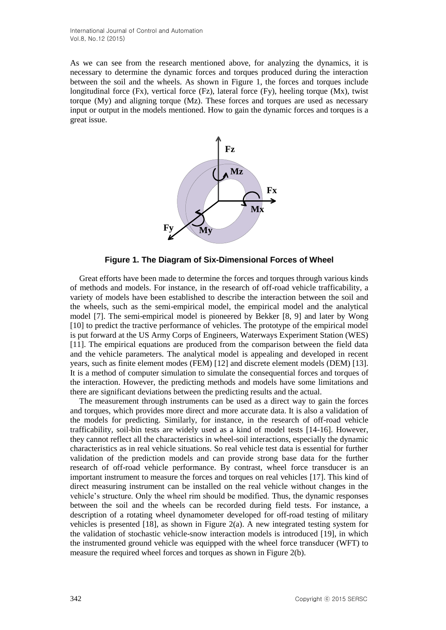As we can see from the research mentioned above, for analyzing the dynamics, it is necessary to determine the dynamic forces and torques produced during the interaction between the soil and the wheels. As shown in Figure 1, the forces and torques include longitudinal force  $(Fx)$ , vertical force  $(Fz)$ , lateral force  $(Fy)$ , heeling torque  $(Mx)$ , twist torque  $(Mv)$  and aligning torque  $(Mz)$ . These forces and torques are used as necessary input or output in the models mentioned. How to gain the dynamic forces and torques is a great issue.



**Figure 1. The Diagram of Six-Dimensional Forces of Wheel**

Great efforts have been made to determine the forces and torques through various kinds of methods and models. For instance, in the research of off-road vehicle trafficability, a variety of models have been established to describe the interaction between the soil and the wheels, such as the semi-empirical model, the empirical model and the analytical model [7]. The semi-empirical model is pioneered by Bekker [8, 9] and later by Wong [10] to predict the tractive performance of vehicles. The prototype of the empirical model is put forward at the US Army Corps of Engineers, Waterways Experiment Station (WES) [11]. The empirical equations are produced from the comparison between the field data and the vehicle parameters. The analytical model is appealing and developed in recent years, such as finite element modes (FEM) [12] and discrete element models (DEM) [13]. It is a method of computer simulation to simulate the consequential forces and torques of the interaction. However, the predicting methods and models have some limitations and there are significant deviations between the predicting results and the actual.

The measurement through instruments can be used as a direct way to gain the forces and torques, which provides more direct and more accurate data. It is also a validation of the models for predicting. Similarly, for instance, in the research of off-road vehicle trafficability, soil-bin tests are widely used as a kind of model tests [14-16]. However, they cannot reflect all the characteristics in wheel-soil interactions, especially the dynamic characteristics as in real vehicle situations. So real vehicle test data is essential for further validation of the prediction models and can provide strong base data for the further research of off-road vehicle performance. By contrast, wheel force transducer is an important instrument to measure the forces and torques on real vehicles [17]. This kind of direct measuring instrument can be installed on the real vehicle without changes in the vehicle's structure. Only the wheel rim should be modified. Thus, the dynamic responses between the soil and the wheels can be recorded during field tests. For instance, a description of a rotating wheel dynamometer developed for off-road testing of military vehicles is presented [18], as shown in Figure 2(a). A new integrated testing system for the validation of stochastic vehicle-snow interaction models is introduced [19], in which the instrumented ground vehicle was equipped with the wheel force transducer (WFT) to measure the required wheel forces and torques as shown in Figure 2(b).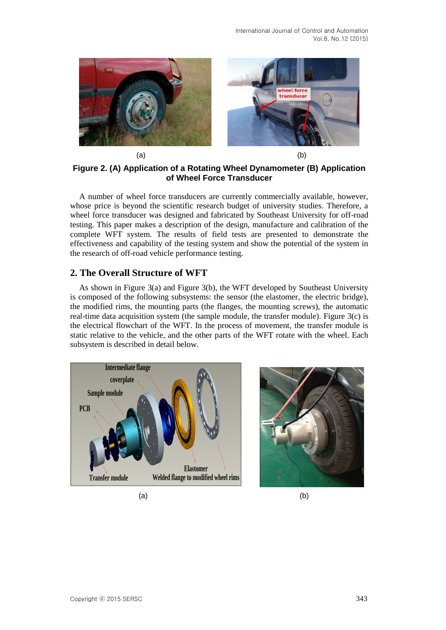

**Figure 2. (A) Application of a Rotating Wheel Dynamometer (B) Application of Wheel Force Transducer**

A number of wheel force transducers are currently commercially available, however, whose price is beyond the scientific research budget of university studies. Therefore, a wheel force transducer was designed and fabricated by Southeast University for off-road testing. This paper makes a description of the design, manufacture and calibration of the complete WFT system. The results of field tests are presented to demonstrate the effectiveness and capability of the testing system and show the potential of the system in the research of off-road vehicle performance testing.

### **2. The Overall Structure of WFT**

As shown in Figure 3(a) and Figure 3(b), the WFT developed by Southeast University is composed of the following subsystems: the sensor (the elastomer, the electric bridge), the modified rims, the mounting parts (the flanges, the mounting screws), the automatic real-time data acquisition system (the sample module, the transfer module). Figure  $3(c)$  is the electrical flowchart of the WFT. In the process of movement, the transfer module is static relative to the vehicle, and the other parts of the WFT rotate with the wheel. Each subsystem is described in detail below.





 $(a)$  (b)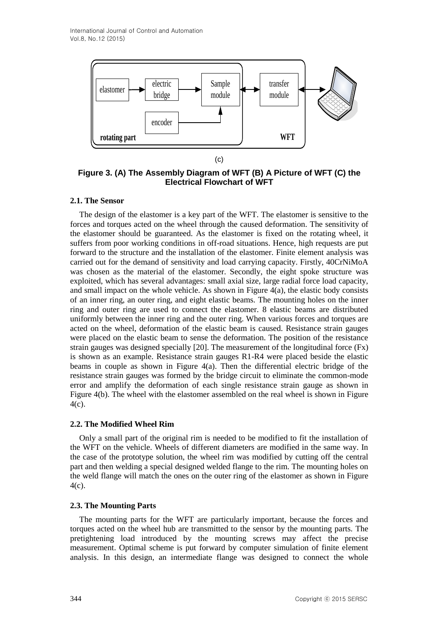

(c)

**Figure 3. (A) The Assembly Diagram of WFT (B) A Picture of WFT (C) the Electrical Flowchart of WFT**

## **2.1. The Sensor**

The design of the elastomer is a key part of the WFT. The elastomer is sensitive to the forces and torques acted on the wheel through the caused deformation. The sensitivity of the elastomer should be guaranteed. As the elastomer is fixed on the rotating wheel, it suffers from poor working conditions in off-road situations. Hence, high requests are put forward to the structure and the installation of the elastomer. Finite element analysis was carried out for the demand of sensitivity and load carrying capacity. Firstly, 40CrNiMoA was chosen as the material of the elastomer. Secondly, the eight spoke structure was exploited, which has several advantages: small axial size, large radial force load capacity, and small impact on the whole vehicle. As shown in Figure 4(a), the elastic body consists of an inner ring, an outer ring, and eight elastic beams. The mounting holes on the inner ring and outer ring are used to connect the elastomer. 8 elastic beams are distributed uniformly between the inner ring and the outer ring. When various forces and torques are acted on the wheel, deformation of the elastic beam is caused. Resistance strain gauges were placed on the elastic beam to sense the deformation. The position of the resistance strain gauges was designed specially [20]. The measurement of the longitudinal force (Fx) is shown as an example. Resistance strain gauges R1-R4 were placed beside the elastic beams in couple as shown in Figure 4(a). Then the differential electric bridge of the resistance strain gauges was formed by the bridge circuit to eliminate the common-mode error and amplify the deformation of each single resistance strain gauge as shown in Figure 4(b). The wheel with the elastomer assembled on the real wheel is shown in Figure 4(c).

## **2.2. The Modified Wheel Rim**

Only a small part of the original rim is needed to be modified to fit the installation of the WFT on the vehicle. Wheels of different diameters are modified in the same way. In the case of the prototype solution, the wheel rim was modified by cutting off the central part and then welding a special designed welded flange to the rim. The mounting holes on the weld flange will match the ones on the outer ring of the elastomer as shown in Figure 4(c).

## **2.3. The Mounting Parts**

The mounting parts for the WFT are particularly important, because the forces and torques acted on the wheel hub are transmitted to the sensor by the mounting parts. The pretightening load introduced by the mounting screws may affect the precise measurement. Optimal scheme is put forward by computer simulation of finite element analysis. In this design, an intermediate flange was designed to connect the whole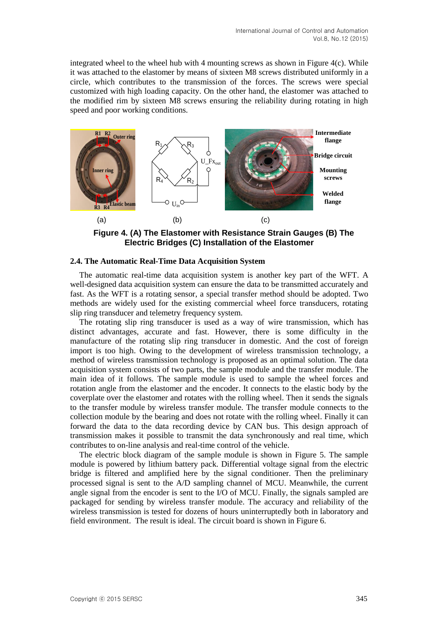integrated wheel to the wheel hub with 4 mounting screws as shown in Figure  $4(c)$ . While it was attached to the elastomer by means of sixteen M8 screws distributed uniformly in a circle, which contributes to the transmission of the forces. The screws were special customized with high loading capacity. On the other hand, the elastomer was attached to the modified rim by sixteen M8 screws ensuring the reliability during rotating in high speed and poor working conditions.



**Figure 4. (A) The Elastomer with Resistance Strain Gauges (B) The Electric Bridges (C) Installation of the Elastomer** 

### **2.4. The Automatic Real-Time Data Acquisition System**

The automatic real-time data acquisition system is another key part of the WFT. A well-designed data acquisition system can ensure the data to be transmitted accurately and fast. As the WFT is a rotating sensor, a special transfer method should be adopted. Two methods are widely used for the existing commercial wheel force transducers, rotating slip ring transducer and telemetry frequency system.

The rotating slip ring transducer is used as a way of wire transmission, which has distinct advantages, accurate and fast. However, there is some difficulty in the manufacture of the rotating slip ring transducer in domestic. And the cost of foreign import is too high. Owing to the development of wireless transmission technology, a method of wireless transmission technology is proposed as an optimal solution. The data acquisition system consists of two parts, the sample module and the transfer module. The main idea of it follows. The sample module is used to sample the wheel forces and rotation angle from the elastomer and the encoder. It connects to the elastic body by the coverplate over the elastomer and rotates with the rolling wheel. Then it sends the signals to the transfer module by wireless transfer module. The transfer module connects to the collection module by the bearing and does not rotate with the rolling wheel. Finally it can forward the data to the data recording device by CAN bus. This design approach of transmission makes it possible to transmit the data synchronously and real time, which contributes to on-line analysis and real-time control of the vehicle.

The electric block diagram of the sample module is shown in Figure 5. The sample module is powered by lithium battery pack. Differential voltage signal from the electric bridge is filtered and amplified here by the signal conditioner. Then the preliminary processed signal is sent to the A/D sampling channel of MCU. Meanwhile, the current angle signal from the encoder is sent to the I/O of MCU. Finally, the signals sampled are packaged for sending by wireless transfer module. The accuracy and reliability of the wireless transmission is tested for dozens of hours uninterruptedly both in laboratory and field environment. The result is ideal. The circuit board is shown in Figure 6.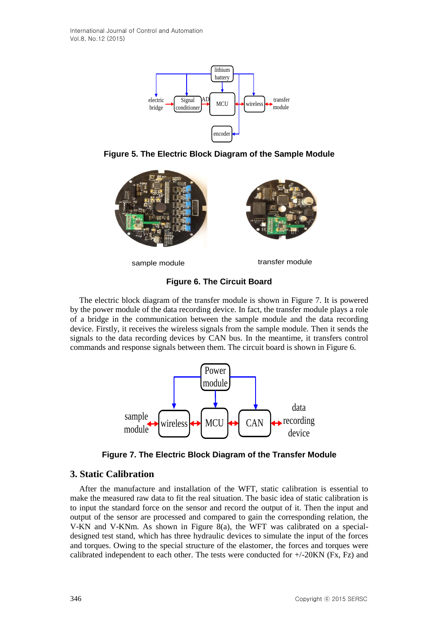

**Figure 5. The Electric Block Diagram of the Sample Module**



sample module transfer module

## **Figure 6. The Circuit Board**

The electric block diagram of the transfer module is shown in Figure 7. It is powered by the power module of the data recording device. In fact, the transfer module plays a role of a bridge in the communication between the sample module and the data recording device. Firstly, it receives the wireless signals from the sample module. Then it sends the signals to the data recording devices by CAN bus. In the meantime, it transfers control commands and response signals between them. The circuit board is shown in Figure 6.



**Figure 7. The Electric Block Diagram of the Transfer Module**

## **3. Static Calibration**

Figure 5. The Electric Block Diagram of the Sample Module<br>
Trigue 5. The Electric Block Diagram of the Sample Module<br>
Trigue 6. The Circuit Board<br>
The electric block diagram of the transfer module is shown in Figure 7. It After the manufacture and installation of the WFT, static calibration is essential to make the measured raw data to fit the real situation. The basic idea of static calibration is to input the standard force on the sensor and record the output of it. Then the input and output of the sensor are processed and compared to gain the corresponding relation, the V-KN and V-KNm. As shown in Figure 8(a), the WFT was calibrated on a specialdesigned test stand, which has three hydraulic devices to simulate the input of the forces and torques. Owing to the special structure of the elastomer, the forces and torques were calibrated independent to each other. The tests were conducted for  $+/-20$ KN (Fx, Fz) and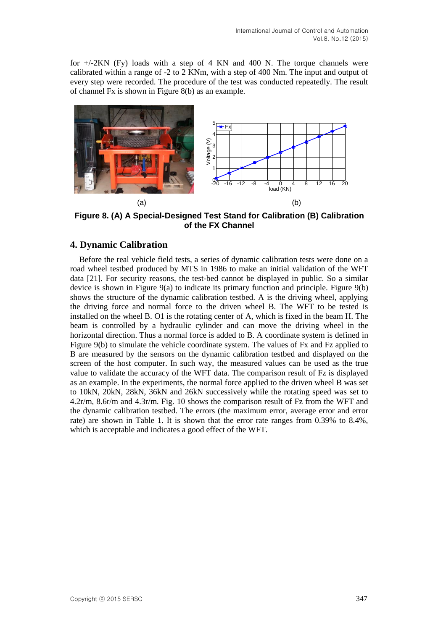for  $+/-2KN$  (Fy) loads with a step of 4 KN and 400 N. The torque channels were calibrated within a range of -2 to 2 KNm, with a step of 400 Nm. The input and output of every step were recorded. The procedure of the test was conducted repeatedly. The result of channel Fx is shown in Figure 8(b) as an example.



**Figure 8. (A) A Special-Designed Test Stand for Calibration (B) Calibration of the FX Channel**

## **4. Dynamic Calibration**

Before the real vehicle field tests, a series of dynamic calibration tests were done on a road wheel testbed produced by MTS in 1986 to make an initial validation of the WFT data [21]. For security reasons, the test-bed cannot be displayed in public. So a similar device is shown in Figure 9(a) to indicate its primary function and principle. Figure 9(b) shows the structure of the dynamic calibration testbed. A is the driving wheel, applying the driving force and normal force to the driven wheel B. The WFT to be tested is installed on the wheel B. O1 is the rotating center of A, which is fixed in the beam H. The beam is controlled by a hydraulic cylinder and can move the driving wheel in the [horizontal](http://dict.youdao.com/w/horizontal/) [direction.](http://dict.youdao.com/w/direction/) Thus a normal force is added to B. A coordinate system is defined in Figure 9(b) to simulate the vehicle coordinate system. The values of Fx and Fz applied to B are measured by the sensors on the dynamic calibration testbed and displayed on the screen of the host computer. In such way, the measured values can be used as the true value to validate the accuracy of the WFT data. The comparison result of Fz is displayed as an example. In the experiments, the normal force applied to the driven wheel B was set to 10kN, 20kN, 28kN, 36kN and 26kN successively while the rotating speed was set to 4.2r/m, 8.6r/m and 4.3r/m. Fig. 10 shows the comparison result of Fz from the WFT and the dynamic calibration testbed. The errors (the maximum error, average error and error rate) are shown in Table 1. It is shown that the error rate ranges from 0.39% to 8.4%, which is acceptable and indicates a good effect of the WFT.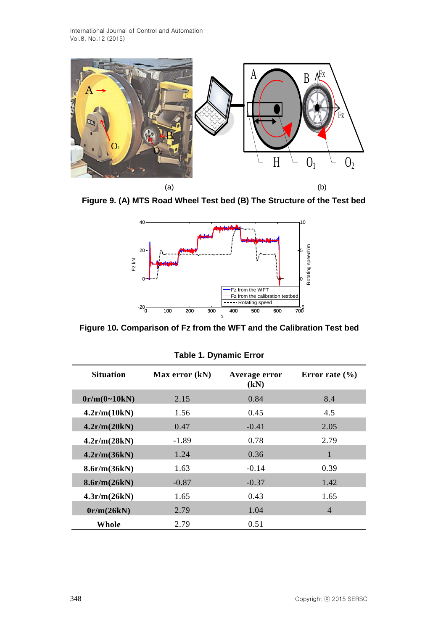

**Figure 9. (A) MTS Road Wheel Test bed (B) The Structure of the Test bed**



**Figure 10. Comparison of Fz from the WFT and the Calibration Test bed**

| <b>Situation</b> | Max error (kN) | Average error<br>(kN) | Error rate $(\% )$ |
|------------------|----------------|-----------------------|--------------------|
| 0r/m(0~10kN)     | 2.15           | 0.84                  | 8.4                |
| 4.2r/m(10kN)     | 1.56           | 0.45                  | 4.5                |
| 4.2r/m(20kN)     | 0.47           | $-0.41$               | 2.05               |
| 4.2r/m(28kN)     | $-1.89$        | 0.78                  | 2.79               |
| 4.2r/m(36kN)     | 1.24           | 0.36                  | $\mathbf{1}$       |
| 8.6r/m(36kN)     | 1.63           | $-0.14$               | 0.39               |
| 8.6r/m(26kN)     | $-0.87$        | $-0.37$               | 1.42               |
| 4.3r/m(26kN)     | 1.65           | 0.43                  | 1.65               |
| 0r/m(26kN)       | 2.79           | 1.04                  | $\overline{4}$     |
| Whole            | 2.79           | 0.51                  |                    |

**Table 1. Dynamic Error**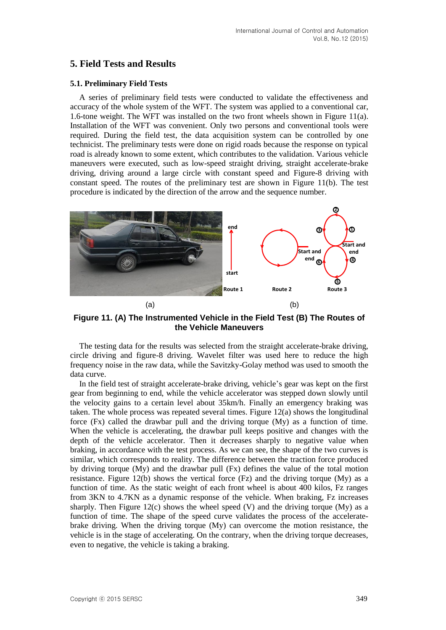## **5. Field Tests and Results**

#### **5.1. Preliminary Field Tests**

A series of preliminary field tests were conducted to validate the effectiveness and accuracy of the whole system of the WFT. The system was applied to a conventional car, 1.6-tone weight. The WFT was installed on the two front wheels shown in Figure 11(a). Installation of the WFT was convenient. Only two persons and conventional tools were required. During the field test, the data acquisition system can be controlled by one technicist. The preliminary tests were done on rigid roads because the response on typical road is already known to some extent, which contributes to the validation. Various vehicle maneuvers were executed, such as low-speed straight driving, straight accelerate-brake driving, driving around a large circle with constant speed and Figure-8 driving with constant speed. The routes of the preliminary test are shown in Figure 11(b). The test procedure is indicated by the direction of the arrow and the sequence number.



**Figure 11. (A) The Instrumented Vehicle in the Field Test (B) The Routes of the Vehicle Maneuvers**

The testing data for the results was selected from the straight accelerate-brake driving, circle driving and figure-8 driving. Wavelet filter was used here to reduce the high frequency noise in the raw data, while the Savitzky-Golay method was used to smooth the data curve.

In the field test of straight accelerate-brake driving, vehicle's gear was kept on the first gear from beginning to end, while the vehicle accelerator was stepped down slowly until the velocity gains to a certain level about 35km/h. Finally an emergency braking was taken. The whole process was repeated several times. Figure 12(a) shows the longitudinal force (Fx) called the drawbar pull and the driving torque (My) as a function of time. When the vehicle is accelerating, the drawbar pull keeps positive and changes with the depth of the vehicle accelerator. Then it decreases sharply to negative value when braking, in accordance with the test process. As we can see, the shape of the two curves is similar, which corresponds to reality. The difference between the traction force produced by driving torque (My) and the drawbar pull (Fx) defines the value of the total motion resistance. Figure 12(b) shows the vertical force (Fz) and the driving torque (My) as a function of time. As the static weight of each front wheel is about 400 kilos, Fz ranges from 3KN to 4.7KN as a dynamic response of the vehicle. When braking, Fz increases sharply. Then Figure 12(c) shows the wheel speed  $(V)$  and the driving torque  $(My)$  as a function of time. The shape of the speed curve validates the process of the acceleratebrake driving. When the driving torque (My) can overcome the motion resistance, the vehicle is in the stage of accelerating. On the contrary, when the driving torque decreases, even to negative, the vehicle is taking a braking.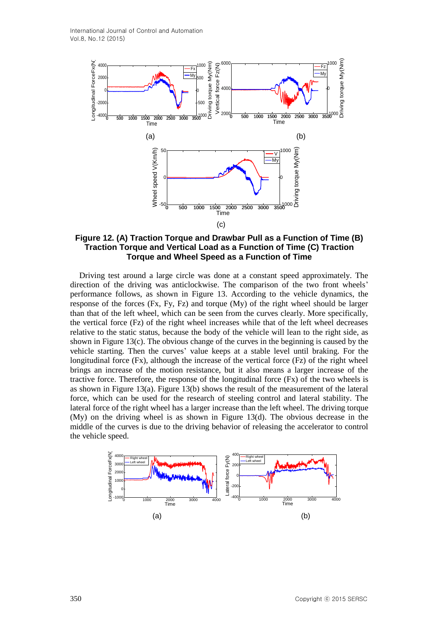

**Figure 12. (A) Traction Torque and Drawbar Pull as a Function of Time (B) Traction Torque and Vertical Load as a Function of Time (C) Traction Torque and Wheel Speed as a Function of Time**

Driving test around a large circle was done at a constant speed approximately. The direction of the driving was anticlockwise. The comparison of the two front wheels' performance follows, as shown in Figure 13. According to the vehicle dynamics, the response of the forces (Fx, Fy, Fz) and torque (My) of the right wheel should be larger than that of the left wheel, which can be seen from the curves clearly. More specifically, the vertical force (Fz) of the right wheel increases while that of the left wheel decreases relative to the static status, because the body of the vehicle will lean to the right side, as shown in Figure  $13(c)$ . The obvious change of the curves in the beginning is caused by the vehicle starting. Then the curves' value keeps at a stable level until braking. For the longitudinal force (Fx), although the increase of the vertical force (Fz) of the right wheel brings an increase of the motion resistance, but it also means a larger increase of the tractive force. Therefore, the response of the longitudinal force  $(Fx)$  of the two wheels is as shown in Figure 13(a). Figure 13(b) shows the result of the measurement of the lateral force, which can be used for the research of steeling control and lateral stability. The lateral force of the right wheel has a larger increase than the left wheel. The driving torque (My) on the driving wheel is as shown in Figure 13(d). The obvious decrease in the middle of the curves is due to the driving behavior of releasing the accelerator to control the vehicle speed.

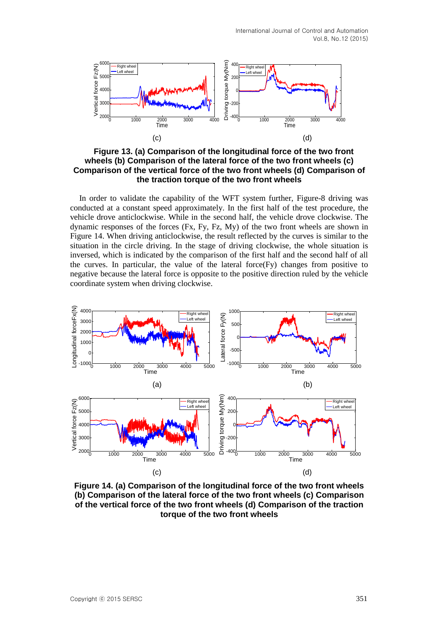

**Figure 13. (a) Comparison of the longitudinal force of the two front wheels (b) Comparison of the lateral force of the two front wheels (c) Comparison of the vertical force of the two front wheels (d) Comparison of the traction torque of the two front wheels**

In order to validate the capability of the WFT system further, Figure-8 driving was conducted at a constant speed approximately. In the first half of the test procedure, the vehicle drove anticlockwise. While in the second half, the vehicle drove clockwise. The dynamic responses of the forces (Fx, Fy, Fz, My) of the two front wheels are shown in Figure 14. When driving anticlockwise, the result reflected by the curves is similar to the situation in the circle driving. In the stage of driving clockwise, the whole situation is inversed, which is indicated by the comparison of the first half and the second half of all the curves. In particular, the value of the lateral force $(Fy)$  changes from positive to negative because the lateral force is opposite to the positive direction ruled by the vehicle coordinate system when driving clockwise.



**Figure 14. (a) Comparison of the longitudinal force of the two front wheels (b) Comparison of the lateral force of the two front wheels (c) Comparison of the vertical force of the two front wheels (d) Comparison of the traction torque of the two front wheels**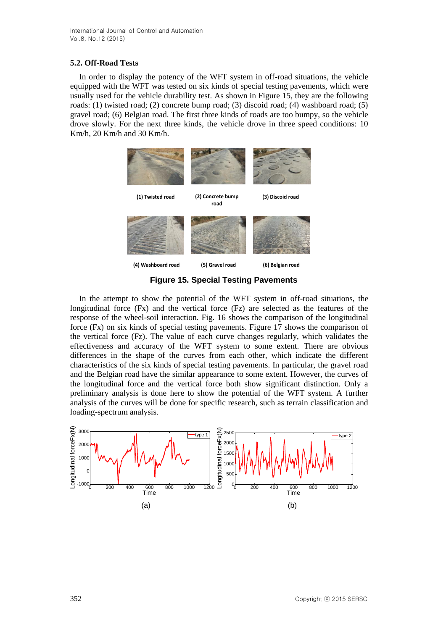### **5.2. Off-Road Tests**

In order to display the potency of the WFT system in off-road situations, the vehicle equipped with the WFT was tested on six kinds of special testing pavements, which were usually used for the vehicle durability test. As shown in Figure 15, they are the following roads: (1) twisted road; (2) concrete bump road; (3) discoid road; (4) washboard road; (5) gravel road; (6) Belgian road. The first three kinds of roads are too bumpy, so the vehicle drove slowly. For the next three kinds, the vehicle drove in three speed conditions: 10 Km/h, 20 Km/h and 30 Km/h.



**Figure 15. Special Testing Pavements**

In the attempt to show the potential of the WFT system in off-road situations, the longitudinal force (Fx) and the vertical force (Fz) are selected as the features of the response of the wheel-soil interaction. Fig. 16 shows the comparison of the longitudinal force (Fx) on six kinds of special testing pavements. Figure 17 shows the comparison of the vertical force (Fz). The value of each curve changes regularly, which validates the effectiveness and accuracy of the WFT system to some extent. There are obvious differences in the shape of the curves from each other, which indicate the different characteristics of the six kinds of special testing pavements. In particular, the gravel road and the Belgian road have the similar appearance to some extent. However, the curves of the longitudinal force and the vertical force both show significant distinction. Only a preliminary analysis is done here to show the potential of the WFT system. A further analysis of the curves will be done for specific research, such as terrain classification and loading-spectrum analysis.

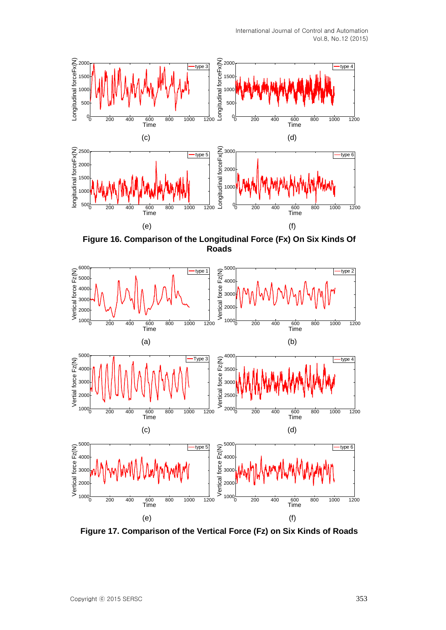International Journal of Control and Automation Vol.8, No.12 (2015)



**Figure 16. Comparison of the Longitudinal Force (Fx) On Six Kinds Of Roads**



**Figure 17. Comparison of the Vertical Force (Fz) on Six Kinds of Roads**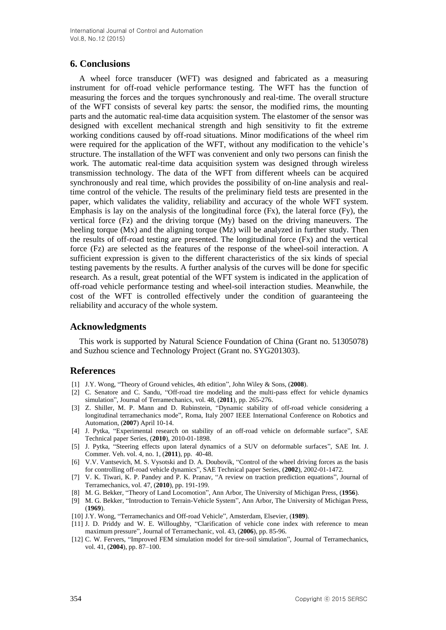## **6. Conclusions**

A wheel force transducer (WFT) was designed and fabricated as a measuring instrument for off-road vehicle performance testing. The WFT has the function of measuring the forces and the torques synchronously and real-time. The overall structure of the WFT consists of several key parts: the sensor, the modified rims, the mounting parts and the automatic real-time data acquisition system. The elastomer of the sensor was designed with excellent mechanical strength and high sensitivity to fit the extreme working conditions caused by off-road situations. Minor modifications of the wheel rim were required for the application of the WFT, without any modification to the vehicle's structure. The installation of the WFT was convenient and only two persons can finish the work. The automatic real-time data acquisition system was designed through wireless transmission technology. The data of the WFT from different wheels can be acquired synchronously and real time, which provides the possibility of on-line analysis and realtime control of the vehicle. The results of the preliminary field tests are presented in the paper, which validates the validity, reliability and accuracy of the whole WFT system. Emphasis is lay on the analysis of the longitudinal force (Fx), the lateral force (Fy), the vertical force (Fz) and the driving torque (My) based on the driving maneuvers. The heeling torque (Mx) and the aligning torque (Mz) will be analyzed in further study. Then the results of off-road testing are presented. The longitudinal force (Fx) and the vertical force (Fz) are selected as the features of the response of the wheel-soil interaction. A sufficient expression is given to the different characteristics of the six kinds of special testing pavements by the results. A further analysis of the curves will be done for specific research. As a result, great potential of the WFT system is indicated in the application of off-road vehicle performance testing and wheel-soil interaction studies. Meanwhile, the cost of the WFT is controlled effectively under the condition of guaranteeing the reliability and accuracy of the whole system.

### **Acknowledgments**

This work is supported by Natural Science Foundation of China (Grant no. 51305078) and Suzhou science and Technology Project (Grant no. SYG201303).

## **References**

- [1] J.Y. Wong, "Theory of Ground vehicles, 4th edition", John Wiley & Sons, (**2008**).
- [2] C. Senatore and C. Sandu, "Off-road tire modeling and the multi-pass effect for vehicle dynamics simulation", Journal of Terramechanics, vol. 48, (**2011**), pp. 265-276.
- [3] Z. Shiller, M. P. Mann and D. Rubinstein, "Dynamic stability of off-road vehicle considering a longitudinal terramechanics mode", Roma, Italy 2007 IEEE International Conference on Robotics and Automation, (**2007**) April 10-14.
- [4] J. Pytka, "Experimental research on stability of an off-road vehicle on deformable surface", SAE Technical paper Series, (**2010**), 2010-01-1898.
- [5] J. Pytka, "Steering effects upon lateral dynamics of a SUV on deformable surfaces", SAE Int. J. Commer. Veh. vol. 4, no. 1, (**2011**), pp. 40-48.
- [6] V.V. Vantsevich, M. S. Vysotski and D. A. Doubovik, "Control of the wheel driving forces as the basis for controlling off-road vehicle dynamics", SAE Technical paper Series, (**2002**), 2002-01-1472.
- [7] V. K. Tiwari, K. P. Pandey and P. K. Pranav, "A review on traction prediction equations", Journal of Terramechanics, vol. 47, (**2010**), pp. 191-199.
- [8] M. G. Bekker, "Theory of Land Locomotion", Ann Arbor, The University of Michigan Press, (**1956**).
- [9] M. G. Bekker, "Introduction to Terrain-Vehicle System", Ann Arbor, The University of Michigan Press, (**1969**).
- [10] J.Y. Wong, "Terramechanics and Off-road Vehicle", Amsterdam, Elsevier, (**1989**).
- [11] J. D. Priddy and W. E. Willoughby, "Clarification of vehicle cone index with reference to mean maximum pressure", Journal of Terramechanic, vol. 43, (**2006**), pp. 85-96.
- [12] C. W. Fervers, "Improved FEM simulation model for tire-soil simulation", Journal of Terramechanics, vol. 41, (**2004**), pp. 87–100.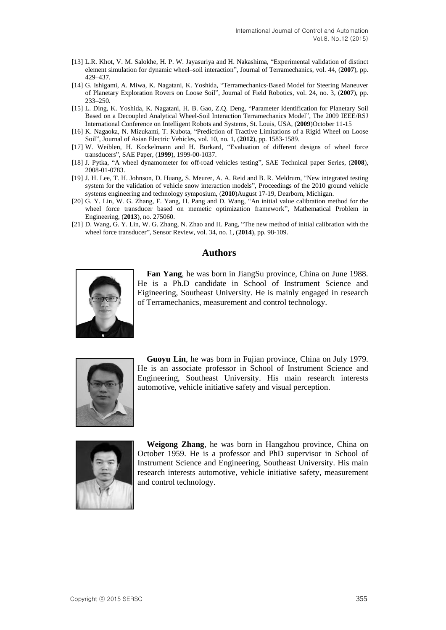- [13] L.R. Khot, V. M. Salokhe, H. P. W. Jayasuriya and H. Nakashima, "Experimental validation of distinct element simulation for dynamic wheel–soil interaction", Journal of Terramechanics, vol. 44, (**2007**), pp. 429–437.
- [14] G. Ishigami, A. Miwa, K. Nagatani, K. Yoshida, "Terramechanics-Based Model for Steering Maneuver of Planetary Exploration Rovers on Loose Soil", Journal of Field Robotics, vol. 24, no. 3, (**2007**), pp. 233–250.
- [15] L. Ding, K. Yoshida, K. Nagatani, H. B. Gao, Z.Q. Deng, "Parameter Identification for Planetary Soil Based on a Decoupled Analytical Wheel-Soil Interaction Terramechanics Model", The 2009 IEEE/RSJ International Conference on Intelligent Robots and Systems, St. Louis, USA, (**2009**)October 11-15
- [16] K. Nagaoka, N. Mizukami, T. Kubota, "Prediction of Tractive Limitations of a Rigid Wheel on Loose Soil", Journal of Asian Electric Vehicles, vol. 10, no. 1, (**2012**), pp. 1583-1589.
- [17] W. Weiblen, H. Kockelmann and H. Burkard, "Evaluation of different designs of wheel force transducers", SAE Paper, (**1999**), 1999-00-1037.
- [18] J. Pytka, "A wheel dynamometer for off-road vehicles testing", SAE Technical paper Series, (**2008**), 2008-01-0783.
- [19] J. H. Lee, T. H. Johnson, D. Huang, S. Meurer, A. A. Reid and B. R. Meldrum, "New integrated testing system for the validation of vehicle snow interaction models", Proceedings of the 2010 ground vehicle systems engineering and technology symposium, (**2010**)August 17-19, Dearborn, Michigan.
- [20] G. Y. Lin, W. G. Zhang, F. Yang, H. Pang and D. Wang, "An initial value calibration method for the wheel force transducer based on memetic optimization framework", Mathematical Problem in Engineering, (**2013**), no. 275060.
- [21] D. Wang, G. Y. Lin, W. G. Zhang, N. Zhao and H. Pang, "The new method of initial calibration with the wheel force transducer", Sensor Review, vol. 34, no. 1, (**2014**), pp. 98-109.

### **Authors**



**Fan Yang**, he was born in JiangSu province, China on June 1988. He is a Ph.D candidate in School of Instrument Science and Eigineering, Southeast University. He is mainly engaged in research of Terramechanics, measurement and control technology.



**Guoyu Lin**, he was born in Fujian province, China on July 1979. He is an associate professor in School of Instrument Science and Engineering, Southeast University. His main research interests automotive, vehicle initiative safety an[d visual](http://dict.youdao.com/w/visual/) [perception.](http://dict.youdao.com/w/perception/)



**Weigong Zhang**, he was born in Hangzhou province, China on October 1959. He is a professor and PhD supervisor in School of Instrument Science and Engineering, Southeast University. His main research interests automotive, vehicle initiative safety, measurement and control technology.